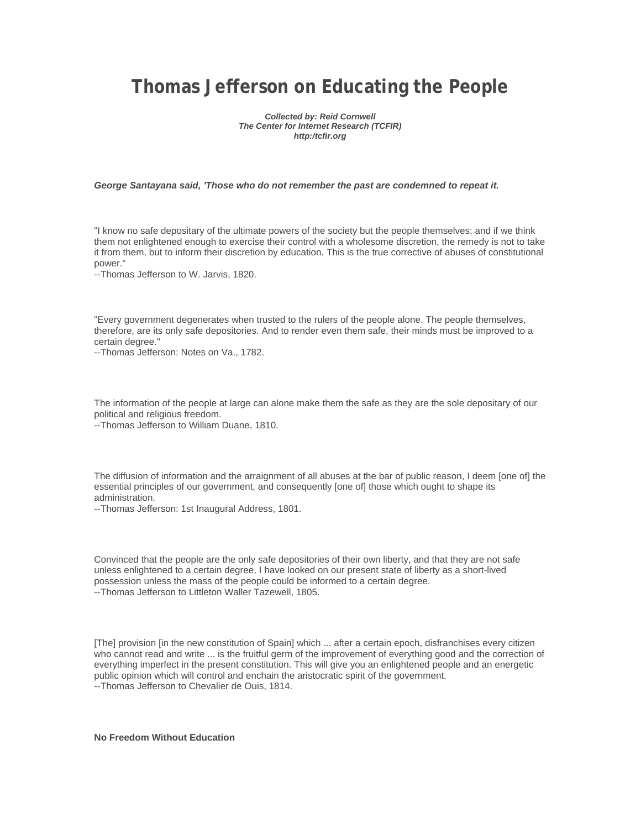# **Thomas Jefferson on Educating the People**

*Collected by: Reid Cornwell The Center for Internet Research (TCFIR) http:/tcfir.org* 

### *George Santayana said, 'Those who do not remember the past are condemned to repeat it.*

"I know no safe depositary of the ultimate powers of the society but the people themselves; and if we think them not enlightened enough to exercise their control with a wholesome discretion, the remedy is not to take it from them, but to inform their discretion by education. This is the true corrective of abuses of constitutional power."

--Thomas Jefferson to W. Jarvis, 1820.

"Every government degenerates when trusted to the rulers of the people alone. The people themselves, therefore, are its only safe depositories. And to render even them safe, their minds must be improved to a certain degree."

--Thomas Jefferson: Notes on Va., 1782.

The information of the people at large can alone make them the safe as they are the sole depositary of our political and religious freedom.

--Thomas Jefferson to William Duane, 1810.

The diffusion of information and the arraignment of all abuses at the bar of public reason, I deem [one of] the essential principles of our government, and consequently [one of] those which ought to shape its administration.

--Thomas Jefferson: 1st Inaugural Address, 1801.

Convinced that the people are the only safe depositories of their own liberty, and that they are not safe unless enlightened to a certain degree, I have looked on our present state of liberty as a short-lived possession unless the mass of the people could be informed to a certain degree. --Thomas Jefferson to Littleton Waller Tazewell, 1805.

[The] provision [in the new constitution of Spain] which ... after a certain epoch, disfranchises every citizen who cannot read and write ... is the fruitful germ of the improvement of everything good and the correction of everything imperfect in the present constitution. This will give you an enlightened people and an energetic public opinion which will control and enchain the aristocratic spirit of the government. --Thomas Jefferson to Chevalier de Ouis, 1814.

**No Freedom Without Education**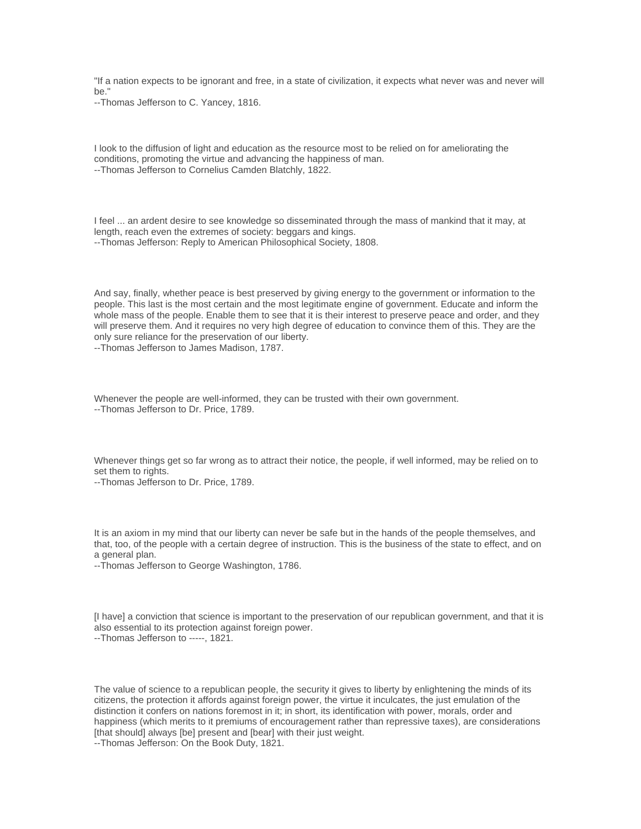"If a nation expects to be ignorant and free, in a state of civilization, it expects what never was and never will be."

--Thomas Jefferson to C. Yancey, 1816.

I look to the diffusion of light and education as the resource most to be relied on for ameliorating the conditions, promoting the virtue and advancing the happiness of man. --Thomas Jefferson to Cornelius Camden Blatchly, 1822.

I feel ... an ardent desire to see knowledge so disseminated through the mass of mankind that it may, at length, reach even the extremes of society: beggars and kings. --Thomas Jefferson: Reply to American Philosophical Society, 1808.

And say, finally, whether peace is best preserved by giving energy to the government or information to the people. This last is the most certain and the most legitimate engine of government. Educate and inform the whole mass of the people. Enable them to see that it is their interest to preserve peace and order, and they will preserve them. And it requires no very high degree of education to convince them of this. They are the only sure reliance for the preservation of our liberty.

--Thomas Jefferson to James Madison, 1787.

Whenever the people are well-informed, they can be trusted with their own government. --Thomas Jefferson to Dr. Price, 1789.

Whenever things get so far wrong as to attract their notice, the people, if well informed, may be relied on to set them to rights.

--Thomas Jefferson to Dr. Price, 1789.

It is an axiom in my mind that our liberty can never be safe but in the hands of the people themselves, and that, too, of the people with a certain degree of instruction. This is the business of the state to effect, and on a general plan.

--Thomas Jefferson to George Washington, 1786.

[I have] a conviction that science is important to the preservation of our republican government, and that it is also essential to its protection against foreign power.

--Thomas Jefferson to -----, 1821.

The value of science to a republican people, the security it gives to liberty by enlightening the minds of its citizens, the protection it affords against foreign power, the virtue it inculcates, the just emulation of the distinction it confers on nations foremost in it; in short, its identification with power, morals, order and happiness (which merits to it premiums of encouragement rather than repressive taxes), are considerations [that should] always [be] present and [bear] with their just weight.

--Thomas Jefferson: On the Book Duty, 1821.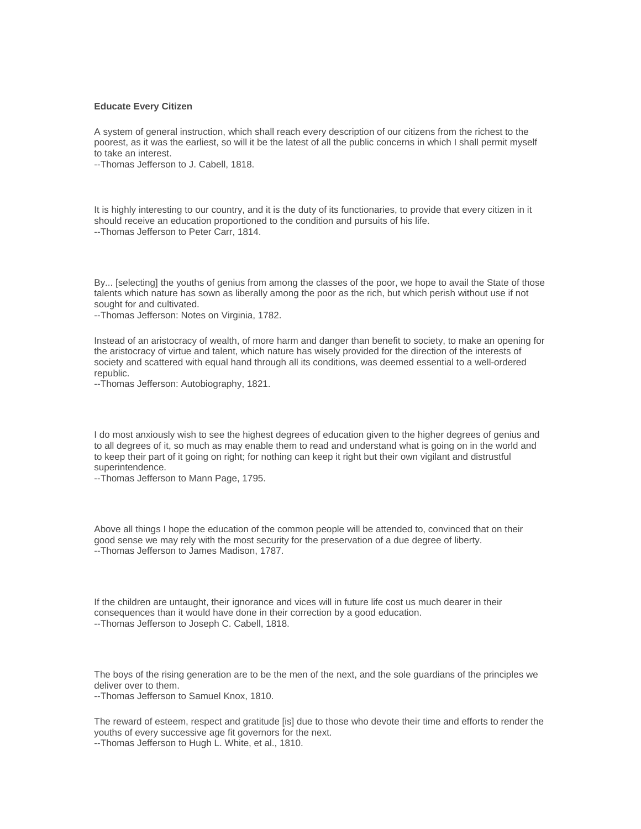#### **Educate Every Citizen**

A system of general instruction, which shall reach every description of our citizens from the richest to the poorest, as it was the earliest, so will it be the latest of all the public concerns in which I shall permit myself to take an interest.

--Thomas Jefferson to J. Cabell, 1818.

It is highly interesting to our country, and it is the duty of its functionaries, to provide that every citizen in it should receive an education proportioned to the condition and pursuits of his life. --Thomas Jefferson to Peter Carr, 1814.

By... [selecting] the youths of genius from among the classes of the poor, we hope to avail the State of those talents which nature has sown as liberally among the poor as the rich, but which perish without use if not sought for and cultivated.

--Thomas Jefferson: Notes on Virginia, 1782.

Instead of an aristocracy of wealth, of more harm and danger than benefit to society, to make an opening for the aristocracy of virtue and talent, which nature has wisely provided for the direction of the interests of society and scattered with equal hand through all its conditions, was deemed essential to a well-ordered republic.

--Thomas Jefferson: Autobiography, 1821.

I do most anxiously wish to see the highest degrees of education given to the higher degrees of genius and to all degrees of it, so much as may enable them to read and understand what is going on in the world and to keep their part of it going on right; for nothing can keep it right but their own vigilant and distrustful superintendence.

--Thomas Jefferson to Mann Page, 1795.

Above all things I hope the education of the common people will be attended to, convinced that on their good sense we may rely with the most security for the preservation of a due degree of liberty. --Thomas Jefferson to James Madison, 1787.

If the children are untaught, their ignorance and vices will in future life cost us much dearer in their consequences than it would have done in their correction by a good education. --Thomas Jefferson to Joseph C. Cabell, 1818.

The boys of the rising generation are to be the men of the next, and the sole guardians of the principles we deliver over to them.

--Thomas Jefferson to Samuel Knox, 1810.

The reward of esteem, respect and gratitude [is] due to those who devote their time and efforts to render the youths of every successive age fit governors for the next. --Thomas Jefferson to Hugh L. White, et al., 1810.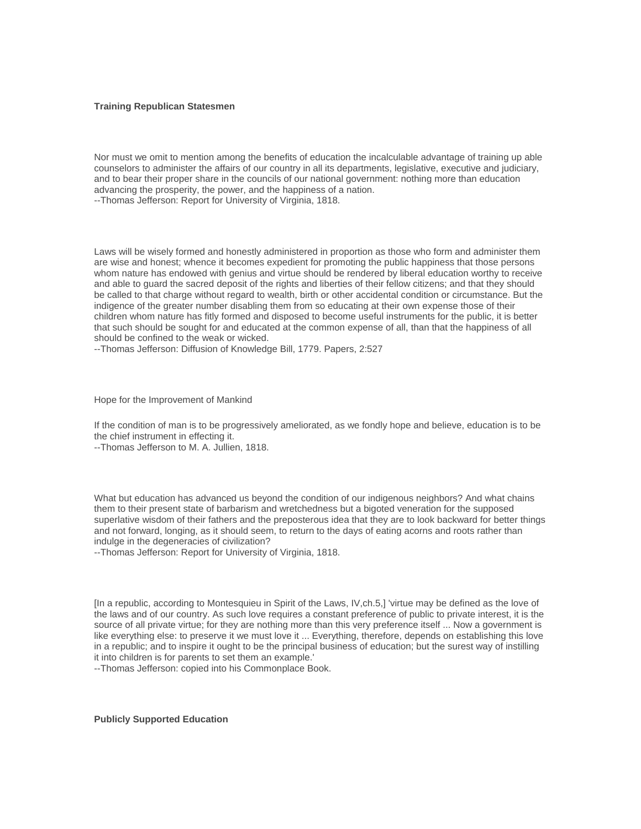#### **Training Republican Statesmen**

Nor must we omit to mention among the benefits of education the incalculable advantage of training up able counselors to administer the affairs of our country in all its departments, legislative, executive and judiciary, and to bear their proper share in the councils of our national government: nothing more than education advancing the prosperity, the power, and the happiness of a nation. --Thomas Jefferson: Report for University of Virginia, 1818.

Laws will be wisely formed and honestly administered in proportion as those who form and administer them are wise and honest; whence it becomes expedient for promoting the public happiness that those persons whom nature has endowed with genius and virtue should be rendered by liberal education worthy to receive and able to guard the sacred deposit of the rights and liberties of their fellow citizens; and that they should be called to that charge without regard to wealth, birth or other accidental condition or circumstance. But the indigence of the greater number disabling them from so educating at their own expense those of their children whom nature has fitly formed and disposed to become useful instruments for the public, it is better that such should be sought for and educated at the common expense of all, than that the happiness of all should be confined to the weak or wicked.

--Thomas Jefferson: Diffusion of Knowledge Bill, 1779. Papers, 2:527

Hope for the Improvement of Mankind

If the condition of man is to be progressively ameliorated, as we fondly hope and believe, education is to be the chief instrument in effecting it.

--Thomas Jefferson to M. A. Jullien, 1818.

What but education has advanced us beyond the condition of our indigenous neighbors? And what chains them to their present state of barbarism and wretchedness but a bigoted veneration for the supposed superlative wisdom of their fathers and the preposterous idea that they are to look backward for better things and not forward, longing, as it should seem, to return to the days of eating acorns and roots rather than indulge in the degeneracies of civilization?

--Thomas Jefferson: Report for University of Virginia, 1818.

[In a republic, according to Montesquieu in Spirit of the Laws, IV,ch.5,] 'virtue may be defined as the love of the laws and of our country. As such love requires a constant preference of public to private interest, it is the source of all private virtue; for they are nothing more than this very preference itself ... Now a government is like everything else: to preserve it we must love it ... Everything, therefore, depends on establishing this love in a republic; and to inspire it ought to be the principal business of education; but the surest way of instilling it into children is for parents to set them an example.'

--Thomas Jefferson: copied into his Commonplace Book.

**Publicly Supported Education**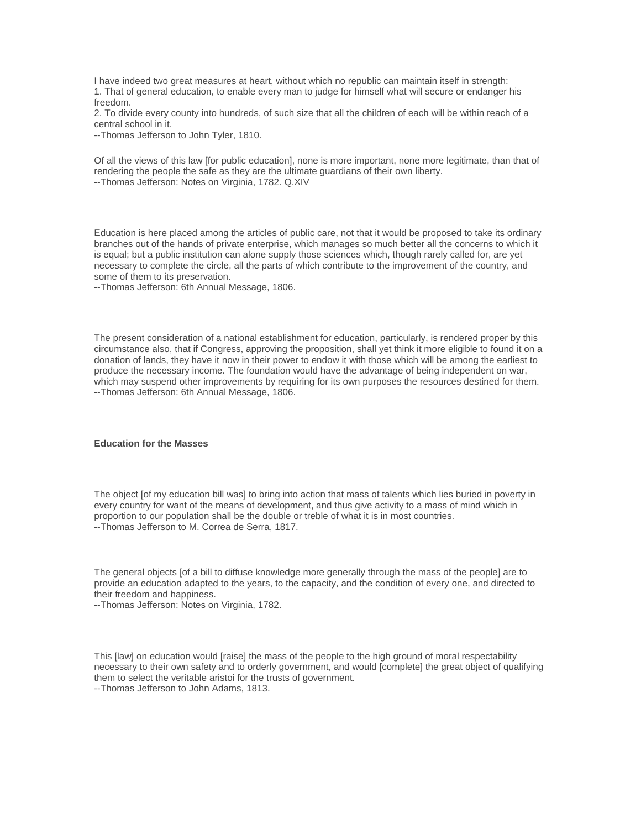I have indeed two great measures at heart, without which no republic can maintain itself in strength: 1. That of general education, to enable every man to judge for himself what will secure or endanger his freedom.

2. To divide every county into hundreds, of such size that all the children of each will be within reach of a central school in it.

--Thomas Jefferson to John Tyler, 1810.

Of all the views of this law [for public education], none is more important, none more legitimate, than that of rendering the people the safe as they are the ultimate guardians of their own liberty. --Thomas Jefferson: Notes on Virginia, 1782. Q.XIV

Education is here placed among the articles of public care, not that it would be proposed to take its ordinary branches out of the hands of private enterprise, which manages so much better all the concerns to which it is equal; but a public institution can alone supply those sciences which, though rarely called for, are yet necessary to complete the circle, all the parts of which contribute to the improvement of the country, and some of them to its preservation.

--Thomas Jefferson: 6th Annual Message, 1806.

The present consideration of a national establishment for education, particularly, is rendered proper by this circumstance also, that if Congress, approving the proposition, shall yet think it more eligible to found it on a donation of lands, they have it now in their power to endow it with those which will be among the earliest to produce the necessary income. The foundation would have the advantage of being independent on war, which may suspend other improvements by requiring for its own purposes the resources destined for them. --Thomas Jefferson: 6th Annual Message, 1806.

## **Education for the Masses**

The object [of my education bill was] to bring into action that mass of talents which lies buried in poverty in every country for want of the means of development, and thus give activity to a mass of mind which in proportion to our population shall be the double or treble of what it is in most countries. --Thomas Jefferson to M. Correa de Serra, 1817.

The general objects [of a bill to diffuse knowledge more generally through the mass of the people] are to provide an education adapted to the years, to the capacity, and the condition of every one, and directed to their freedom and happiness.

--Thomas Jefferson: Notes on Virginia, 1782.

This [law] on education would [raise] the mass of the people to the high ground of moral respectability necessary to their own safety and to orderly government, and would [complete] the great object of qualifying them to select the veritable aristoi for the trusts of government.

--Thomas Jefferson to John Adams, 1813.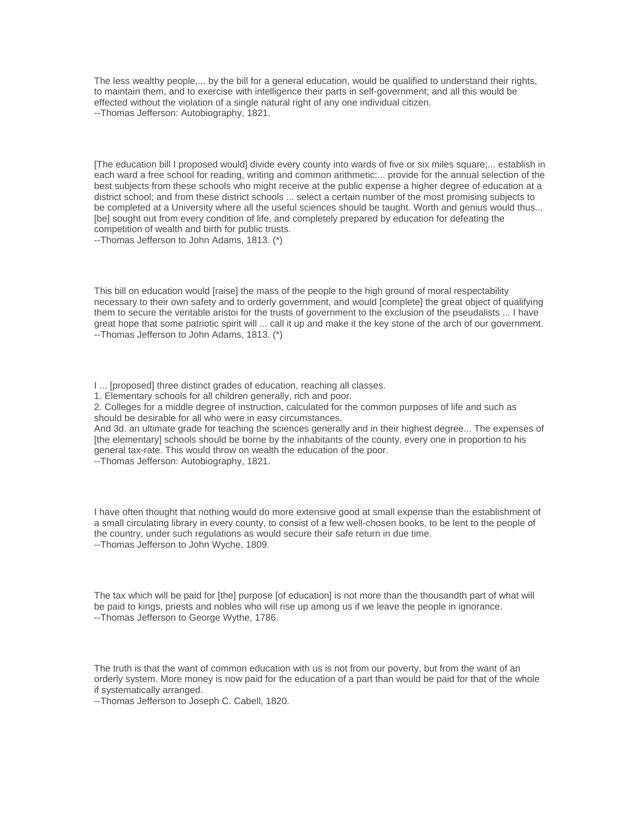The less wealthy people,... by the bill for a general education, would be qualified to understand their rights, to maintain them, and to exercise with intelligence their parts in self-government; and all this would be effected without the violation of a single natural right of any one individual citizen. --Thomas Jefferson: Autobiography, 1821.

[The education bill I proposed would] divide every county into wards of five or six miles square;... establish in each ward a free school for reading, writing and common arithmetic;... provide for the annual selection of the best subjects from these schools who might receive at the public expense a higher degree of education at a district school; and from these district schools ... select a certain number of the most promising subjects to be completed at a University where all the useful sciences should be taught. Worth and genius would thus... [be] sought out from every condition of life, and completely prepared by education for defeating the competition of wealth and birth for public trusts.

--Thomas Jefferson to John Adams, 1813. (\*)

This bill on education would [raise] the mass of the people to the high ground of moral respectability necessary to their own safety and to orderly government, and would [complete] the great object of qualifying them to secure the veritable aristoi for the trusts of government to the exclusion of the pseudalists ... I have great hope that some patriotic spirit will ... call it up and make it the key stone of the arch of our government. --Thomas Jefferson to John Adams, 1813. (\*)

I ... [proposed] three distinct grades of education, reaching all classes.

1. Elementary schools for all children generally, rich and poor.

2. Colleges for a middle degree of instruction, calculated for the common purposes of life and such as should be desirable for all who were in easy circumstances.

And 3d. an ultimate grade for teaching the sciences generally and in their highest degree... The expenses of [the elementary] schools should be borne by the inhabitants of the county, every one in proportion to his general tax-rate. This would throw on wealth the education of the poor.

--Thomas Jefferson: Autobiography, 1821.

I have often thought that nothing would do more extensive good at small expense than the establishment of a small circulating library in every county, to consist of a few well-chosen books, to be lent to the people of the country, under such regulations as would secure their safe return in due time. --Thomas Jefferson to John Wyche, 1809.

The tax which will be paid for [the] purpose [of education] is not more than the thousandth part of what will be paid to kings, priests and nobles who will rise up among us if we leave the people in ignorance. --Thomas Jefferson to George Wythe, 1786.

The truth is that the want of common education with us is not from our poverty, but from the want of an orderly system. More money is now paid for the education of a part than would be paid for that of the whole if systematically arranged.

--Thomas Jefferson to Joseph C. Cabell, 1820.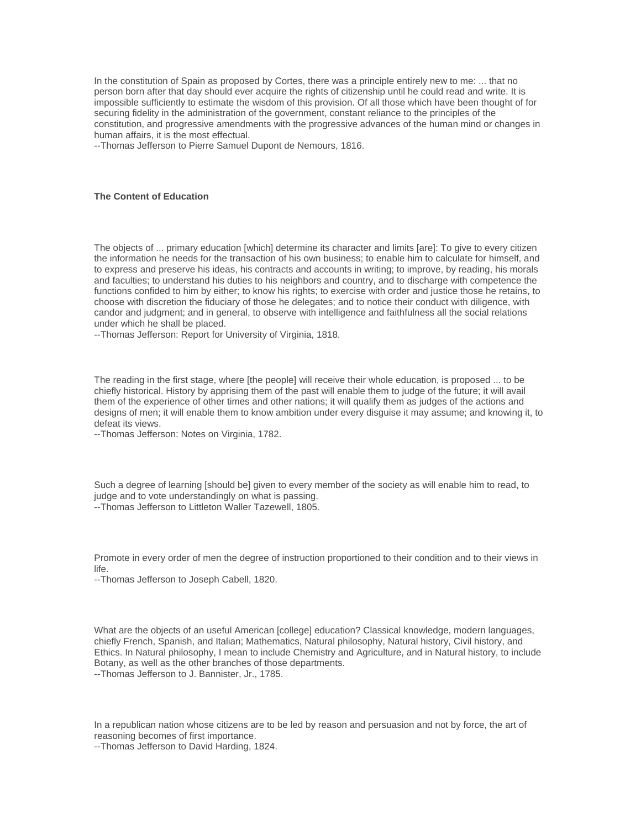In the constitution of Spain as proposed by Cortes, there was a principle entirely new to me: ... that no person born after that day should ever acquire the rights of citizenship until he could read and write. It is impossible sufficiently to estimate the wisdom of this provision. Of all those which have been thought of for securing fidelity in the administration of the government, constant reliance to the principles of the constitution, and progressive amendments with the progressive advances of the human mind or changes in human affairs, it is the most effectual.

--Thomas Jefferson to Pierre Samuel Dupont de Nemours, 1816.

#### **The Content of Education**

The objects of ... primary education [which] determine its character and limits [are]: To give to every citizen the information he needs for the transaction of his own business; to enable him to calculate for himself, and to express and preserve his ideas, his contracts and accounts in writing; to improve, by reading, his morals and faculties; to understand his duties to his neighbors and country, and to discharge with competence the functions confided to him by either; to know his rights; to exercise with order and justice those he retains, to choose with discretion the fiduciary of those he delegates; and to notice their conduct with diligence, with candor and judgment; and in general, to observe with intelligence and faithfulness all the social relations under which he shall be placed.

--Thomas Jefferson: Report for University of Virginia, 1818.

The reading in the first stage, where [the people] will receive their whole education, is proposed ... to be chiefly historical. History by apprising them of the past will enable them to judge of the future; it will avail them of the experience of other times and other nations; it will qualify them as judges of the actions and designs of men; it will enable them to know ambition under every disguise it may assume; and knowing it, to defeat its views.

--Thomas Jefferson: Notes on Virginia, 1782.

Such a degree of learning [should be] given to every member of the society as will enable him to read, to judge and to vote understandingly on what is passing. --Thomas Jefferson to Littleton Waller Tazewell, 1805.

Promote in every order of men the degree of instruction proportioned to their condition and to their views in life.

--Thomas Jefferson to Joseph Cabell, 1820.

What are the objects of an useful American [college] education? Classical knowledge, modern languages, chiefly French, Spanish, and Italian; Mathematics, Natural philosophy, Natural history, Civil history, and Ethics. In Natural philosophy, I mean to include Chemistry and Agriculture, and in Natural history, to include Botany, as well as the other branches of those departments.

--Thomas Jefferson to J. Bannister, Jr., 1785.

In a republican nation whose citizens are to be led by reason and persuasion and not by force, the art of reasoning becomes of first importance.

--Thomas Jefferson to David Harding, 1824.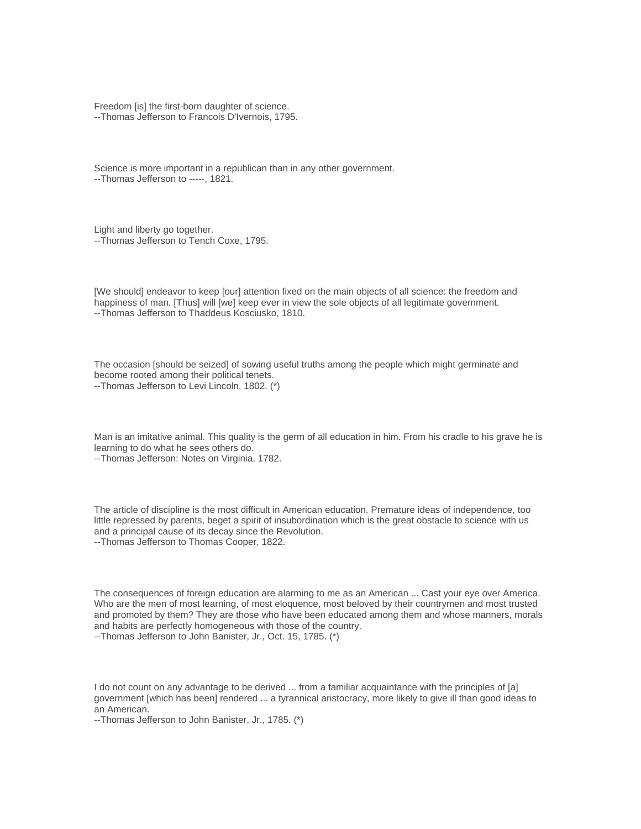Freedom [is] the first-born daughter of science. --Thomas Jefferson to Francois D'Ivernois, 1795.

Science is more important in a republican than in any other government. --Thomas Jefferson to -----, 1821.

Light and liberty go together. --Thomas Jefferson to Tench Coxe, 1795.

[We should] endeavor to keep [our] attention fixed on the main objects of all science: the freedom and happiness of man. [Thus] will [we] keep ever in view the sole objects of all legitimate government. --Thomas Jefferson to Thaddeus Kosciusko, 1810.

The occasion [should be seized] of sowing useful truths among the people which might germinate and become rooted among their political tenets. --Thomas Jefferson to Levi Lincoln, 1802. (\*)

Man is an imitative animal. This quality is the germ of all education in him. From his cradle to his grave he is learning to do what he sees others do.

--Thomas Jefferson: Notes on Virginia, 1782.

The article of discipline is the most difficult in American education. Premature ideas of independence, too little repressed by parents, beget a spirit of insubordination which is the great obstacle to science with us and a principal cause of its decay since the Revolution. --Thomas Jefferson to Thomas Cooper, 1822.

The consequences of foreign education are alarming to me as an American ... Cast your eye over America. Who are the men of most learning, of most eloquence, most beloved by their countrymen and most trusted and promoted by them? They are those who have been educated among them and whose manners, morals and habits are perfectly homogeneous with those of the country. --Thomas Jefferson to John Banister, Jr., Oct. 15, 1785. (\*)

I do not count on any advantage to be derived ... from a familiar acquaintance with the principles of [a] government [which has been] rendered ... a tyrannical aristocracy, more likely to give ill than good ideas to an American.

--Thomas Jefferson to John Banister, Jr., 1785. (\*)